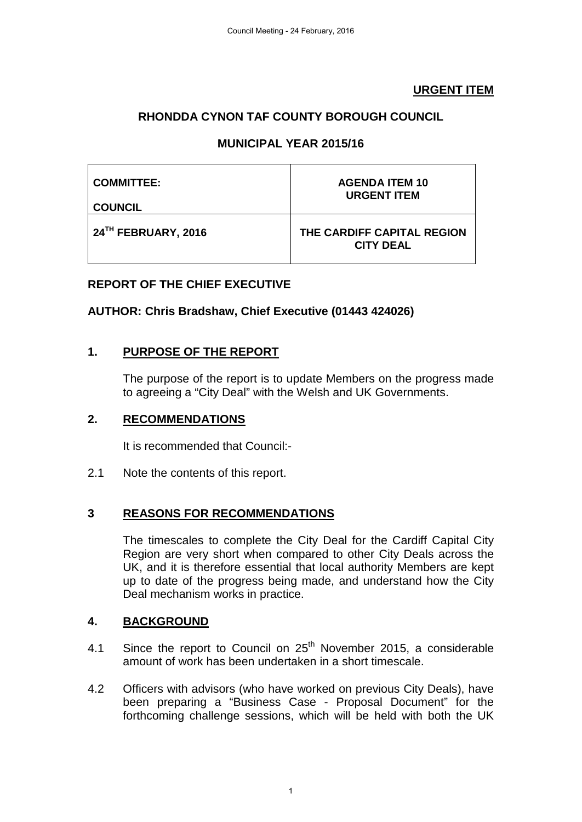### **URGENT ITEM**

# **RHONDDA CYNON TAF COUNTY BOROUGH COUNCIL**

## **MUNICIPAL YEAR 2015/16**

| <b>COMMITTEE:</b>   | <b>AGENDA ITEM 10</b>                          |
|---------------------|------------------------------------------------|
| <b>COUNCIL</b>      | <b>URGENT ITEM</b>                             |
| 24TH FEBRUARY, 2016 | THE CARDIFF CAPITAL REGION<br><b>CITY DEAL</b> |

#### **REPORT OF THE CHIEF EXECUTIVE**

#### **AUTHOR: Chris Bradshaw, Chief Executive (01443 424026)**

#### **1. PURPOSE OF THE REPORT**

The purpose of the report is to update Members on the progress made to agreeing a "City Deal" with the Welsh and UK Governments.

#### **2. RECOMMENDATIONS**

It is recommended that Council:-

2.1 Note the contents of this report.

#### **3 REASONS FOR RECOMMENDATIONS**

The timescales to complete the City Deal for the Cardiff Capital City Region are very short when compared to other City Deals across the UK, and it is therefore essential that local authority Members are kept up to date of the progress being made, and understand how the City Deal mechanism works in practice.

#### **4. BACKGROUND**

- 4.1 Since the report to Council on  $25<sup>th</sup>$  November 2015, a considerable amount of work has been undertaken in a short timescale.
- 4.2 Officers with advisors (who have worked on previous City Deals), have been preparing a "Business Case - Proposal Document" for the forthcoming challenge sessions, which will be held with both the UK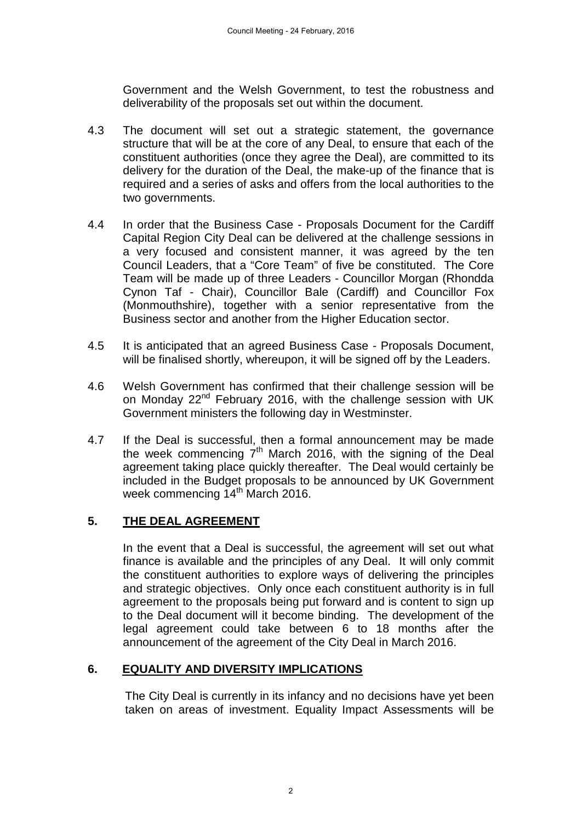Government and the Welsh Government, to test the robustness and deliverability of the proposals set out within the document.

- 4.3 The document will set out a strategic statement, the governance structure that will be at the core of any Deal, to ensure that each of the constituent authorities (once they agree the Deal), are committed to its delivery for the duration of the Deal, the make-up of the finance that is required and a series of asks and offers from the local authorities to the two governments.
- 4.4 In order that the Business Case Proposals Document for the Cardiff Capital Region City Deal can be delivered at the challenge sessions in a very focused and consistent manner, it was agreed by the ten Council Leaders, that a "Core Team" of five be constituted. The Core Team will be made up of three Leaders - Councillor Morgan (Rhondda Cynon Taf - Chair), Councillor Bale (Cardiff) and Councillor Fox (Monmouthshire), together with a senior representative from the Business sector and another from the Higher Education sector.
- 4.5 It is anticipated that an agreed Business Case Proposals Document, will be finalised shortly, whereupon, it will be signed off by the Leaders.
- 4.6 Welsh Government has confirmed that their challenge session will be on Monday 22<sup>nd</sup> February 2016, with the challenge session with UK Government ministers the following day in Westminster.
- 4.7 If the Deal is successful, then a formal announcement may be made the week commencing  $7<sup>th</sup>$  March 2016, with the signing of the Deal agreement taking place quickly thereafter. The Deal would certainly be included in the Budget proposals to be announced by UK Government week commencing 14<sup>th</sup> March 2016.

#### **5. THE DEAL AGREEMENT**

In the event that a Deal is successful, the agreement will set out what finance is available and the principles of any Deal. It will only commit the constituent authorities to explore ways of delivering the principles and strategic objectives. Only once each constituent authority is in full agreement to the proposals being put forward and is content to sign up to the Deal document will it become binding. The development of the legal agreement could take between 6 to 18 months after the announcement of the agreement of the City Deal in March 2016.

#### **6. EQUALITY AND DIVERSITY IMPLICATIONS**

The City Deal is currently in its infancy and no decisions have yet been taken on areas of investment. Equality Impact Assessments will be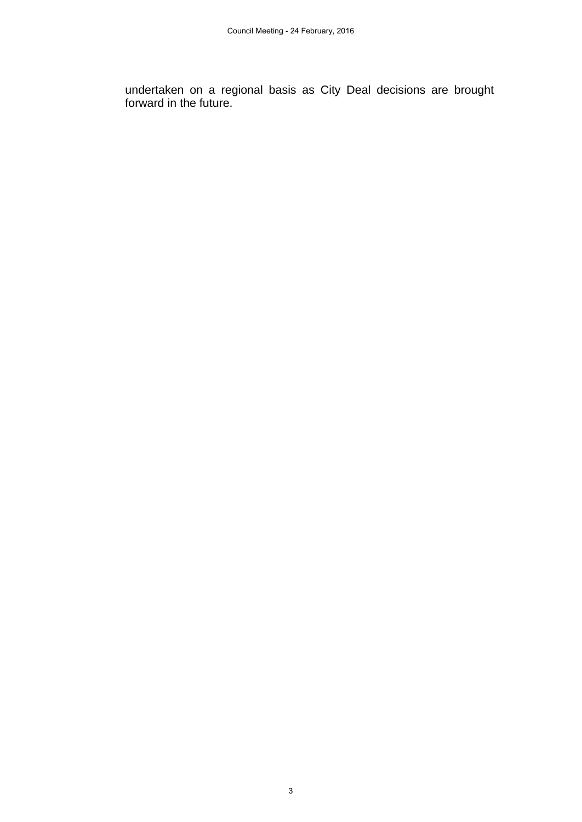undertaken on a regional basis as City Deal decisions are brought forward in the future.